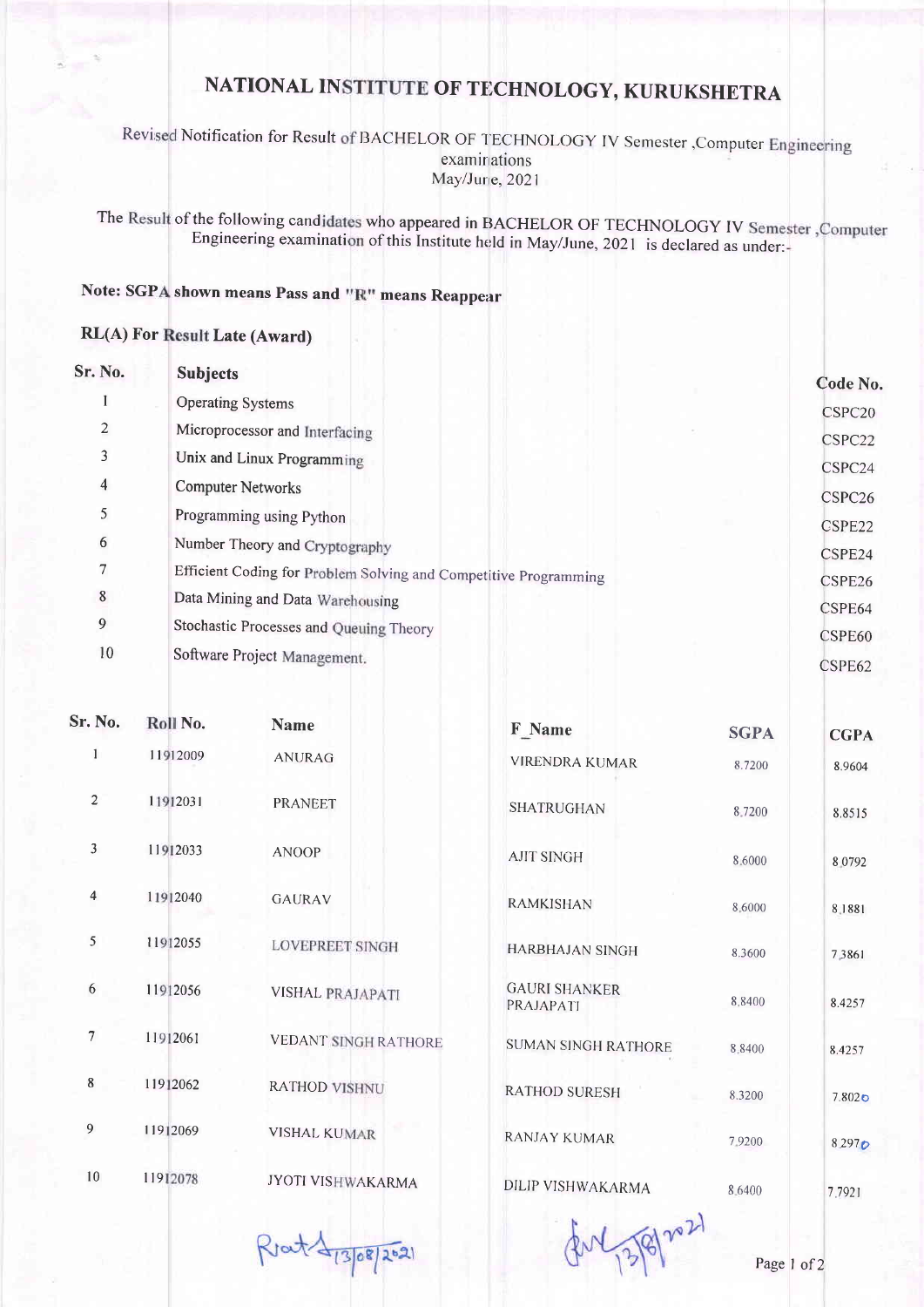## NATIONAL INSTITUTE OF TECHNOLOGY, KURUKSHETRA

Revised Notification for Result of BACHELOR OF TECHNOLOGY IV Semester ,Computer Engineering examinations May/June, 2021

The Result of the following candidates who appeared in BACHELOR OF TECHNOLOGY IV Semester, Computer Engineering examination of this Institute held in May/June, 2021 is declared as under:-

## Note: SGPA shown means Pass and "R" means Reappear

## RL(A) For Result Late (Award)

| Sr. No.        | <b>Subjects</b>                                                  | Code No.           |
|----------------|------------------------------------------------------------------|--------------------|
|                | <b>Operating Systems</b>                                         | CSPC <sub>20</sub> |
| 2              | Microprocessor and Interfacing                                   | CSPC22             |
| 3              | Unix and Linux Programming                                       | CSPC <sub>24</sub> |
| $\overline{4}$ | <b>Computer Networks</b>                                         | CSPC <sub>26</sub> |
| 5              | Programming using Python                                         | CSPE22             |
| 6              | Number Theory and Cryptography                                   | CSPE24             |
| 7              | Efficient Coding for Problem Solving and Competitive Programming | CSPE26             |
| 8              | Data Mining and Data Warehousing                                 | CSPE64             |
| 9              | Stochastic Processes and Queuing Theory                          | CSPE <sub>60</sub> |
| 10             | Software Project Management.                                     | CSPE <sub>62</sub> |

| Sr. No.        | Roll No. | <b>Name</b>                 | F_Name                            | <b>SGPA</b> | <b>CGPA</b>        |
|----------------|----------|-----------------------------|-----------------------------------|-------------|--------------------|
| 1              | 11912009 | <b>ANURAG</b>               | <b>VIRENDRA KUMAR</b>             | 8.7200      | 8.9604             |
| $\overline{2}$ | 11912031 | <b>PRANEET</b>              | SHATRUGHAN                        | 8,7200      | 8.8515             |
| $\overline{3}$ | 11912033 | <b>ANOOP</b>                | <b>AJIT SINGH</b>                 | 8.6000      | 8.0792             |
| $\overline{4}$ | 11912040 | <b>GAURAV</b>               | <b>RAMKISHAN</b>                  | 8.6000      | 8.1881             |
| 5              | 11912055 | <b>LOVEPREET SINGH</b>      | HARBHAJAN SINGH                   | 8.3600      | 7.3861             |
| $6\,$          | 11912056 | <b>VISHAL PRAJAPATI</b>     | <b>GAURI SHANKER</b><br>PRAJAPATI | 8.8400      | 8.4257             |
| $\overline{7}$ | 11912061 | <b>VEDANT SINGH RATHORE</b> | <b>SUMAN SINGH RATHORE</b>        | 8.8400      | 8.4257             |
| 8              | 11912062 | <b>RATHOD VISHNU</b>        | <b>RATHOD SURESH</b>              | 8.3200      | 7.802 <sub>o</sub> |
| 9              | 11912069 | <b>VISHAL KUMAR</b>         | <b>RANJAY KUMAR</b>               | 7.9200      | 8.297 <sub>o</sub> |
| 10             | 11912078 | JYOTI VISHWAKARMA           | DILIP VISHWAKARMA                 | 8.6400      | 7.7921             |

Rout 413/08/2021

for 3/8/2021

Page 1 of 2